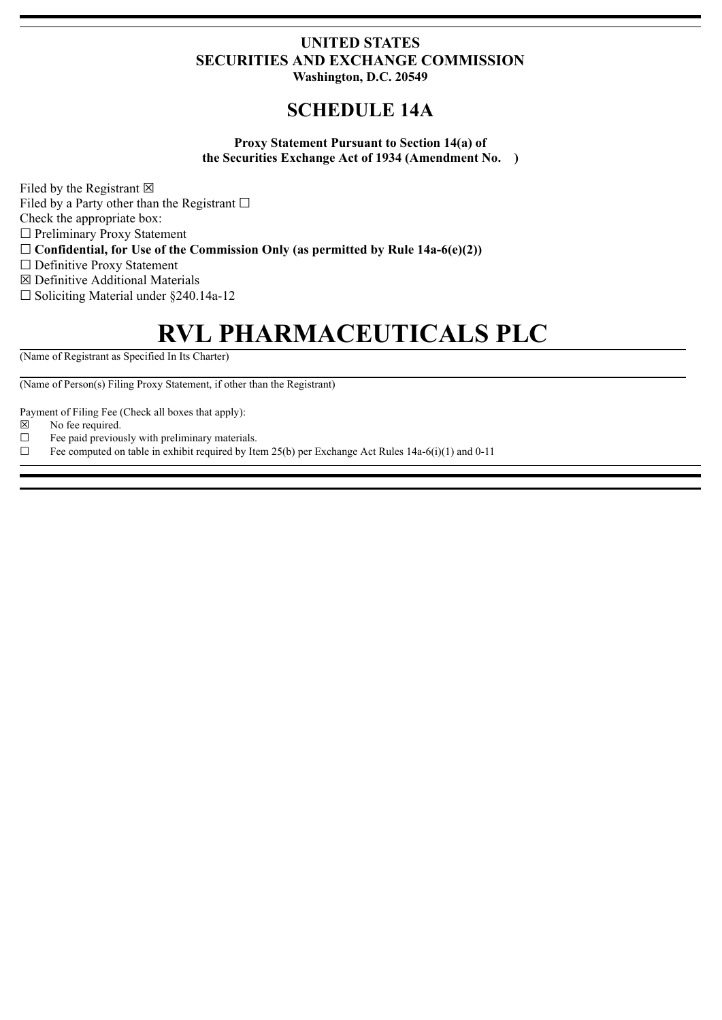## **UNITED STATES SECURITIES AND EXCHANGE COMMISSION**

**Washington, D.C. 20549**

## **SCHEDULE 14A**

**Proxy Statement Pursuant to Section 14(a) of the Securities Exchange Act of 1934 (Amendment No. )**

Filed by the Registrant  $\boxtimes$ 

Filed by a Party other than the Registrant  $□$ 

Check the appropriate box:

☐ Preliminary Proxy Statement

 $\Box$  **Confidential, for Use of the Commission Only (as permitted by Rule 14a-6(e)(2))** 

☐ Definitive Proxy Statement

☒ Definitive Additional Materials

 $\Box$  Soliciting Material under §240.14a-12

## **RVL PHARMACEUTICALS PLC**

(Name of Registrant as Specified In Its Charter)

(Name of Person(s) Filing Proxy Statement, if other than the Registrant)

Payment of Filing Fee (Check all boxes that apply):

- ☒ No fee required.
- $\Box$  Fee paid previously with preliminary materials.
- $\Box$  Fee computed on table in exhibit required by Item 25(b) per Exchange Act Rules 14a-6(i)(1) and 0-11